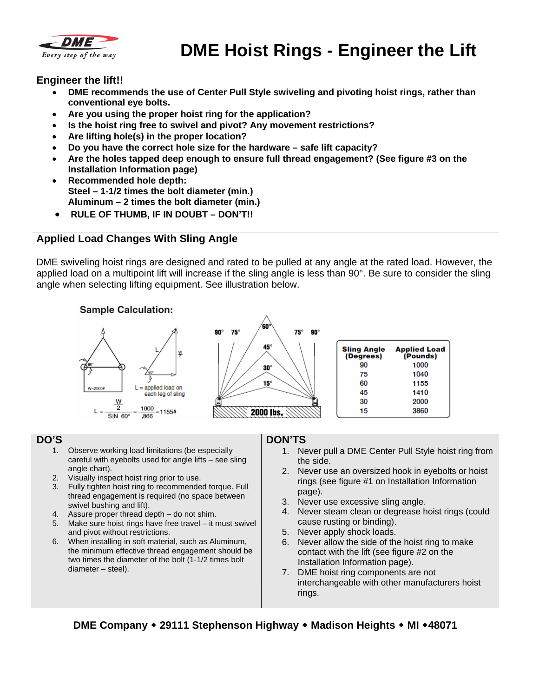

# **DME Hoist Rings - Engineer the Lift**

#### **Engineer the lift!!**

- **DME recommends the use of Center Pull Style swiveling and pivoting hoist rings, rather than conventional eye bolts.**
- **Are you using the proper hoist ring for the application?**
- **Is the hoist ring free to swivel and pivot? Any movement restrictions?**
- **Are lifting hole(s) in the proper location?**
- **Do you have the correct hole size for the hardware safe lift capacity?**
- **Are the holes tapped deep enough to ensure full thread engagement? (See figure #3 on the Installation Information page)**
- **Recommended hole depth: Steel – 1-1/2 times the bolt diameter (min.) Aluminum – 2 times the bolt diameter (min.)**
- **RULE OF THUMB, IF IN DOUBT DON'T!!**

### **Applied Load Changes With Sling Angle**

DME swiveling hoist rings are designed and rated to be pulled at any angle at the rated load. However, the applied load on a multipoint lift will increase if the sling angle is less than 90°. Be sure to consider the sling angle when selecting lifting equipment. See illustration below.



#### **DO'S**

- 1. Observe working load limitations (be especially careful with eyebolts used for angle lifts – see sling angle chart).
- 2. Visually inspect hoist ring prior to use.
- 3. Fully tighten hoist ring to recommended torque. Full thread engagement is required (no space between swivel bushing and lift).
- 4. Assure proper thread depth do not shim.
- 5. Make sure hoist rings have free travel it must swivel and pivot without restrictions.
- 6. When installing in soft material, such as Aluminum, the minimum effective thread engagement should be two times the diameter of the bolt (1-1/2 times bolt diameter – steel).

#### **DON'TS**

- 1. Never pull a DME Center Pull Style hoist ring from the side.
- 2. Never use an oversized hook in eyebolts or hoist rings (see figure #1 on Installation Information page).
- 3. Never use excessive sling angle.
- 4. Never steam clean or degrease hoist rings (could cause rusting or binding).
- 5. Never apply shock loads.
- 6. Never allow the side of the hoist ring to make contact with the lift (see figure #2 on the Installation Information page).
- 7. DME hoist ring components are not interchangeable with other manufacturers hoist rings.

**DME Company 29111 Stephenson Highway Madison Heights MI 48071**